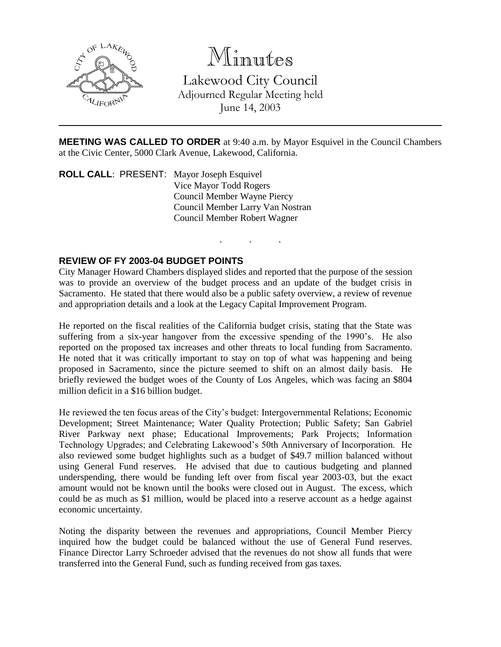

Minutes

Lakewood City Council Adjourned Regular Meeting held June 14, 2003

**MEETING WAS CALLED TO ORDER** at 9:40 a.m. by Mayor Esquivel in the Council Chambers at the Civic Center, 5000 Clark Avenue, Lakewood, California.

. . .

**ROLL CALL**: PRESENT: Mayor Joseph Esquivel Vice Mayor Todd Rogers Council Member Wayne Piercy Council Member Larry Van Nostran Council Member Robert Wagner

### **REVIEW OF FY 2003-04 BUDGET POINTS**

City Manager Howard Chambers displayed slides and reported that the purpose of the session was to provide an overview of the budget process and an update of the budget crisis in Sacramento. He stated that there would also be a public safety overview, a review of revenue and appropriation details and a look at the Legacy Capital Improvement Program.

He reported on the fiscal realities of the California budget crisis, stating that the State was suffering from a six-year hangover from the excessive spending of the 1990's. He also reported on the proposed tax increases and other threats to local funding from Sacramento. He noted that it was critically important to stay on top of what was happening and being proposed in Sacramento, since the picture seemed to shift on an almost daily basis. He briefly reviewed the budget woes of the County of Los Angeles, which was facing an \$804 million deficit in a \$16 billion budget.

He reviewed the ten focus areas of the City's budget: Intergovernmental Relations; Economic Development; Street Maintenance; Water Quality Protection; Public Safety; San Gabriel River Parkway next phase; Educational Improvements; Park Projects; Information Technology Upgrades; and Celebrating Lakewood's 50th Anniversary of Incorporation. He also reviewed some budget highlights such as a budget of \$49.7 million balanced without using General Fund reserves. He advised that due to cautious budgeting and planned underspending, there would be funding left over from fiscal year 2003-03, but the exact amount would not be known until the books were closed out in August. The excess, which could be as much as \$1 million, would be placed into a reserve account as a hedge against economic uncertainty.

Noting the disparity between the revenues and appropriations, Council Member Piercy inquired how the budget could be balanced without the use of General Fund reserves. Finance Director Larry Schroeder advised that the revenues do not show all funds that were transferred into the General Fund, such as funding received from gas taxes.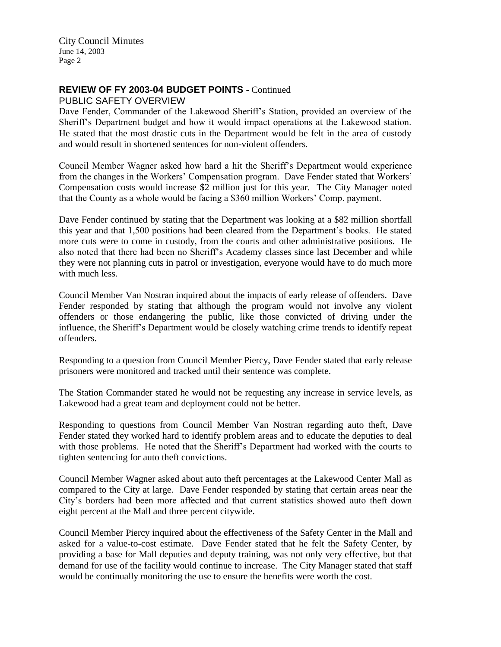## **REVIEW OF FY 2003-04 BUDGET POINTS** - Continued

PUBLIC SAFETY OVERVIEW

Dave Fender, Commander of the Lakewood Sheriff's Station, provided an overview of the Sheriff's Department budget and how it would impact operations at the Lakewood station. He stated that the most drastic cuts in the Department would be felt in the area of custody and would result in shortened sentences for non-violent offenders.

Council Member Wagner asked how hard a hit the Sheriff's Department would experience from the changes in the Workers' Compensation program. Dave Fender stated that Workers' Compensation costs would increase \$2 million just for this year. The City Manager noted that the County as a whole would be facing a \$360 million Workers' Comp. payment.

Dave Fender continued by stating that the Department was looking at a \$82 million shortfall this year and that 1,500 positions had been cleared from the Department's books. He stated more cuts were to come in custody, from the courts and other administrative positions. He also noted that there had been no Sheriff's Academy classes since last December and while they were not planning cuts in patrol or investigation, everyone would have to do much more with much less.

Council Member Van Nostran inquired about the impacts of early release of offenders. Dave Fender responded by stating that although the program would not involve any violent offenders or those endangering the public, like those convicted of driving under the influence, the Sheriff's Department would be closely watching crime trends to identify repeat offenders.

Responding to a question from Council Member Piercy, Dave Fender stated that early release prisoners were monitored and tracked until their sentence was complete.

The Station Commander stated he would not be requesting any increase in service levels, as Lakewood had a great team and deployment could not be better.

Responding to questions from Council Member Van Nostran regarding auto theft, Dave Fender stated they worked hard to identify problem areas and to educate the deputies to deal with those problems. He noted that the Sheriff's Department had worked with the courts to tighten sentencing for auto theft convictions.

Council Member Wagner asked about auto theft percentages at the Lakewood Center Mall as compared to the City at large. Dave Fender responded by stating that certain areas near the City's borders had been more affected and that current statistics showed auto theft down eight percent at the Mall and three percent citywide.

Council Member Piercy inquired about the effectiveness of the Safety Center in the Mall and asked for a value-to-cost estimate. Dave Fender stated that he felt the Safety Center, by providing a base for Mall deputies and deputy training, was not only very effective, but that demand for use of the facility would continue to increase. The City Manager stated that staff would be continually monitoring the use to ensure the benefits were worth the cost.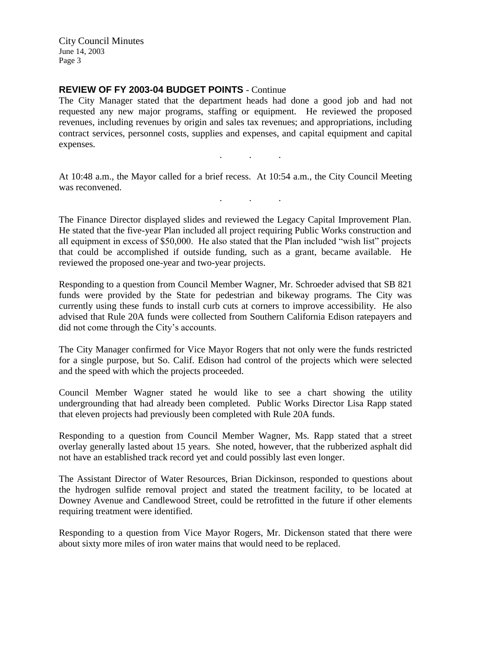## **REVIEW OF FY 2003-04 BUDGET POINTS** - Continue

The City Manager stated that the department heads had done a good job and had not requested any new major programs, staffing or equipment. He reviewed the proposed revenues, including revenues by origin and sales tax revenues; and appropriations, including contract services, personnel costs, supplies and expenses, and capital equipment and capital expenses.

At 10:48 a.m., the Mayor called for a brief recess. At 10:54 a.m., the City Council Meeting was reconvened.

. . .

. . .

The Finance Director displayed slides and reviewed the Legacy Capital Improvement Plan. He stated that the five-year Plan included all project requiring Public Works construction and all equipment in excess of \$50,000. He also stated that the Plan included "wish list" projects that could be accomplished if outside funding, such as a grant, became available. He reviewed the proposed one-year and two-year projects.

Responding to a question from Council Member Wagner, Mr. Schroeder advised that SB 821 funds were provided by the State for pedestrian and bikeway programs. The City was currently using these funds to install curb cuts at corners to improve accessibility. He also advised that Rule 20A funds were collected from Southern California Edison ratepayers and did not come through the City's accounts.

The City Manager confirmed for Vice Mayor Rogers that not only were the funds restricted for a single purpose, but So. Calif. Edison had control of the projects which were selected and the speed with which the projects proceeded.

Council Member Wagner stated he would like to see a chart showing the utility undergrounding that had already been completed. Public Works Director Lisa Rapp stated that eleven projects had previously been completed with Rule 20A funds.

Responding to a question from Council Member Wagner, Ms. Rapp stated that a street overlay generally lasted about 15 years. She noted, however, that the rubberized asphalt did not have an established track record yet and could possibly last even longer.

The Assistant Director of Water Resources, Brian Dickinson, responded to questions about the hydrogen sulfide removal project and stated the treatment facility, to be located at Downey Avenue and Candlewood Street, could be retrofitted in the future if other elements requiring treatment were identified.

Responding to a question from Vice Mayor Rogers, Mr. Dickenson stated that there were about sixty more miles of iron water mains that would need to be replaced.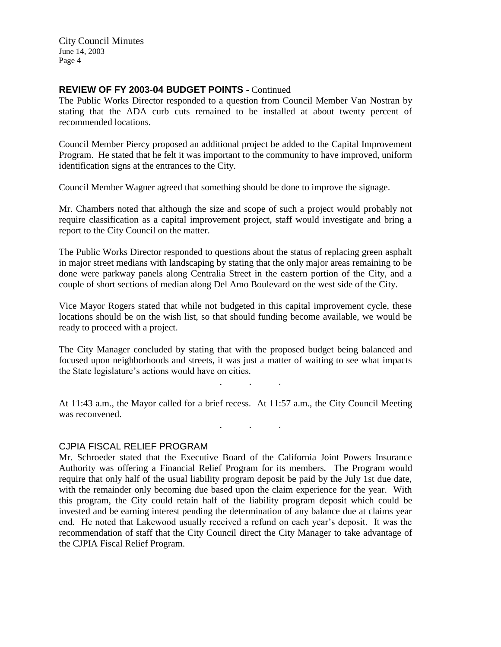#### **REVIEW OF FY 2003-04 BUDGET POINTS** - Continued

The Public Works Director responded to a question from Council Member Van Nostran by stating that the ADA curb cuts remained to be installed at about twenty percent of recommended locations.

Council Member Piercy proposed an additional project be added to the Capital Improvement Program. He stated that he felt it was important to the community to have improved, uniform identification signs at the entrances to the City.

Council Member Wagner agreed that something should be done to improve the signage.

Mr. Chambers noted that although the size and scope of such a project would probably not require classification as a capital improvement project, staff would investigate and bring a report to the City Council on the matter.

The Public Works Director responded to questions about the status of replacing green asphalt in major street medians with landscaping by stating that the only major areas remaining to be done were parkway panels along Centralia Street in the eastern portion of the City, and a couple of short sections of median along Del Amo Boulevard on the west side of the City.

Vice Mayor Rogers stated that while not budgeted in this capital improvement cycle, these locations should be on the wish list, so that should funding become available, we would be ready to proceed with a project.

The City Manager concluded by stating that with the proposed budget being balanced and focused upon neighborhoods and streets, it was just a matter of waiting to see what impacts the State legislature's actions would have on cities.

 $\mathbf{r} = \mathbf{r} \cdot \mathbf{r}$ 

. As we have the set of  $\mathcal{A}$  , and  $\mathcal{A}$ 

At 11:43 a.m., the Mayor called for a brief recess. At 11:57 a.m., the City Council Meeting was reconvened.

#### CJPIA FISCAL RELIEF PROGRAM

Mr. Schroeder stated that the Executive Board of the California Joint Powers Insurance Authority was offering a Financial Relief Program for its members. The Program would require that only half of the usual liability program deposit be paid by the July 1st due date, with the remainder only becoming due based upon the claim experience for the year. With this program, the City could retain half of the liability program deposit which could be invested and be earning interest pending the determination of any balance due at claims year end. He noted that Lakewood usually received a refund on each year's deposit. It was the recommendation of staff that the City Council direct the City Manager to take advantage of the CJPIA Fiscal Relief Program.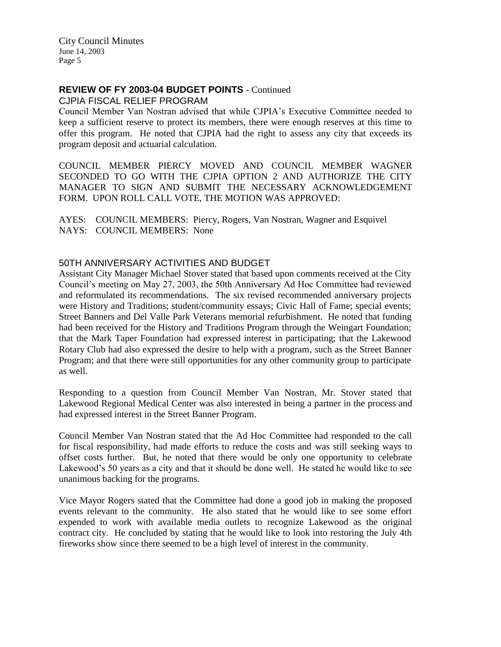## **REVIEW OF FY 2003-04 BUDGET POINTS** - Continued

CJPIA FISCAL RELIEF PROGRAM

Council Member Van Nostran advised that while CJPIA's Executive Committee needed to keep a sufficient reserve to protect its members, there were enough reserves at this time to offer this program. He noted that CJPIA had the right to assess any city that exceeds its program deposit and actuarial calculation.

COUNCIL MEMBER PIERCY MOVED AND COUNCIL MEMBER WAGNER SECONDED TO GO WITH THE CJPIA OPTION 2 AND AUTHORIZE THE CITY MANAGER TO SIGN AND SUBMIT THE NECESSARY ACKNOWLEDGEMENT FORM. UPON ROLL CALL VOTE, THE MOTION WAS APPROVED:

AYES: COUNCIL MEMBERS: Piercy, Rogers, Van Nostran, Wagner and Esquivel NAYS: COUNCIL MEMBERS: None

### 50TH ANNIVERSARY ACTIVITIES AND BUDGET

Assistant City Manager Michael Stover stated that based upon comments received at the City Council's meeting on May 27, 2003, the 50th Anniversary Ad Hoc Committee had reviewed and reformulated its recommendations. The six revised recommended anniversary projects were History and Traditions; student/community essays; Civic Hall of Fame; special events; Street Banners and Del Valle Park Veterans memorial refurbishment. He noted that funding had been received for the History and Traditions Program through the Weingart Foundation; that the Mark Taper Foundation had expressed interest in participating; that the Lakewood Rotary Club had also expressed the desire to help with a program, such as the Street Banner Program; and that there were still opportunities for any other community group to participate as well.

Responding to a question from Council Member Van Nostran, Mr. Stover stated that Lakewood Regional Medical Center was also interested in being a partner in the process and had expressed interest in the Street Banner Program.

Council Member Van Nostran stated that the Ad Hoc Committee had responded to the call for fiscal responsibility, had made efforts to reduce the costs and was still seeking ways to offset costs further. But, he noted that there would be only one opportunity to celebrate Lakewood's 50 years as a city and that it should be done well. He stated he would like to see unanimous backing for the programs.

Vice Mayor Rogers stated that the Committee had done a good job in making the proposed events relevant to the community. He also stated that he would like to see some effort expended to work with available media outlets to recognize Lakewood as the original contract city. He concluded by stating that he would like to look into restoring the July 4th fireworks show since there seemed to be a high level of interest in the community.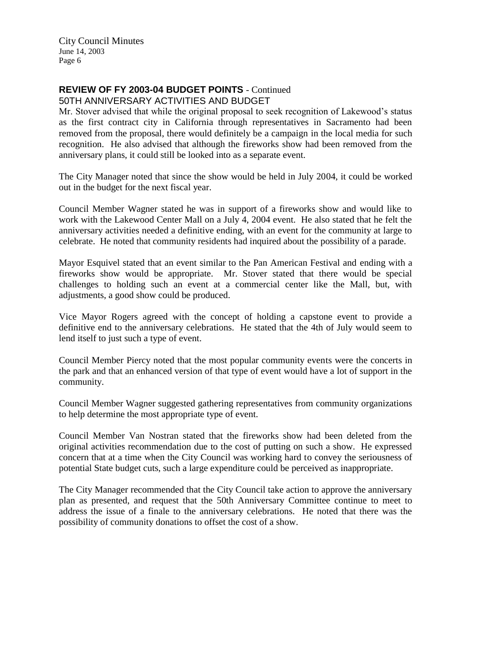# **REVIEW OF FY 2003-04 BUDGET POINTS** - Continued

50TH ANNIVERSARY ACTIVITIES AND BUDGET

Mr. Stover advised that while the original proposal to seek recognition of Lakewood's status as the first contract city in California through representatives in Sacramento had been removed from the proposal, there would definitely be a campaign in the local media for such recognition. He also advised that although the fireworks show had been removed from the anniversary plans, it could still be looked into as a separate event.

The City Manager noted that since the show would be held in July 2004, it could be worked out in the budget for the next fiscal year.

Council Member Wagner stated he was in support of a fireworks show and would like to work with the Lakewood Center Mall on a July 4, 2004 event. He also stated that he felt the anniversary activities needed a definitive ending, with an event for the community at large to celebrate. He noted that community residents had inquired about the possibility of a parade.

Mayor Esquivel stated that an event similar to the Pan American Festival and ending with a fireworks show would be appropriate. Mr. Stover stated that there would be special challenges to holding such an event at a commercial center like the Mall, but, with adjustments, a good show could be produced.

Vice Mayor Rogers agreed with the concept of holding a capstone event to provide a definitive end to the anniversary celebrations. He stated that the 4th of July would seem to lend itself to just such a type of event.

Council Member Piercy noted that the most popular community events were the concerts in the park and that an enhanced version of that type of event would have a lot of support in the community.

Council Member Wagner suggested gathering representatives from community organizations to help determine the most appropriate type of event.

Council Member Van Nostran stated that the fireworks show had been deleted from the original activities recommendation due to the cost of putting on such a show. He expressed concern that at a time when the City Council was working hard to convey the seriousness of potential State budget cuts, such a large expenditure could be perceived as inappropriate.

The City Manager recommended that the City Council take action to approve the anniversary plan as presented, and request that the 50th Anniversary Committee continue to meet to address the issue of a finale to the anniversary celebrations. He noted that there was the possibility of community donations to offset the cost of a show.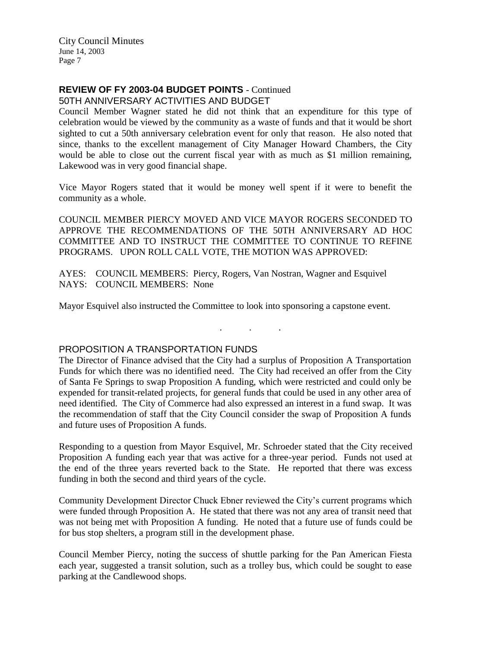# **REVIEW OF FY 2003-04 BUDGET POINTS** - Continued

50TH ANNIVERSARY ACTIVITIES AND BUDGET

Council Member Wagner stated he did not think that an expenditure for this type of celebration would be viewed by the community as a waste of funds and that it would be short sighted to cut a 50th anniversary celebration event for only that reason. He also noted that since, thanks to the excellent management of City Manager Howard Chambers, the City would be able to close out the current fiscal year with as much as \$1 million remaining, Lakewood was in very good financial shape.

Vice Mayor Rogers stated that it would be money well spent if it were to benefit the community as a whole.

COUNCIL MEMBER PIERCY MOVED AND VICE MAYOR ROGERS SECONDED TO APPROVE THE RECOMMENDATIONS OF THE 50TH ANNIVERSARY AD HOC COMMITTEE AND TO INSTRUCT THE COMMITTEE TO CONTINUE TO REFINE PROGRAMS. UPON ROLL CALL VOTE, THE MOTION WAS APPROVED:

AYES: COUNCIL MEMBERS: Piercy, Rogers, Van Nostran, Wagner and Esquivel NAYS: COUNCIL MEMBERS: None

Mayor Esquivel also instructed the Committee to look into sponsoring a capstone event.

#### PROPOSITION A TRANSPORTATION FUNDS

The Director of Finance advised that the City had a surplus of Proposition A Transportation Funds for which there was no identified need. The City had received an offer from the City of Santa Fe Springs to swap Proposition A funding, which were restricted and could only be expended for transit-related projects, for general funds that could be used in any other area of need identified. The City of Commerce had also expressed an interest in a fund swap. It was the recommendation of staff that the City Council consider the swap of Proposition A funds and future uses of Proposition A funds.

. . .

Responding to a question from Mayor Esquivel, Mr. Schroeder stated that the City received Proposition A funding each year that was active for a three-year period. Funds not used at the end of the three years reverted back to the State. He reported that there was excess funding in both the second and third years of the cycle.

Community Development Director Chuck Ebner reviewed the City's current programs which were funded through Proposition A. He stated that there was not any area of transit need that was not being met with Proposition A funding. He noted that a future use of funds could be for bus stop shelters, a program still in the development phase.

Council Member Piercy, noting the success of shuttle parking for the Pan American Fiesta each year, suggested a transit solution, such as a trolley bus, which could be sought to ease parking at the Candlewood shops.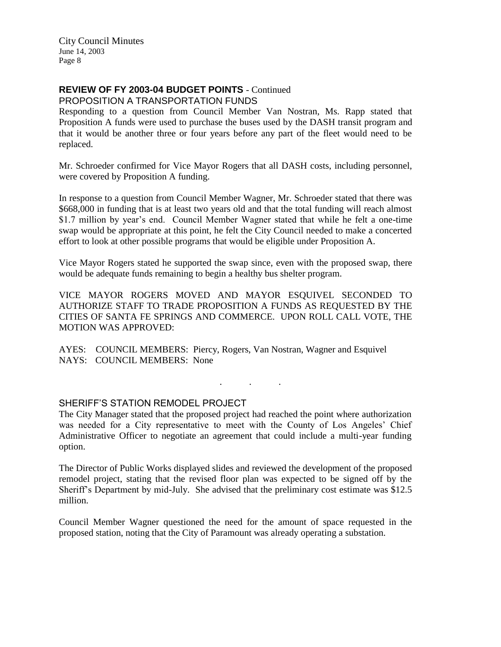# **REVIEW OF FY 2003-04 BUDGET POINTS** - Continued

PROPOSITION A TRANSPORTATION FUNDS

Responding to a question from Council Member Van Nostran, Ms. Rapp stated that Proposition A funds were used to purchase the buses used by the DASH transit program and that it would be another three or four years before any part of the fleet would need to be replaced.

Mr. Schroeder confirmed for Vice Mayor Rogers that all DASH costs, including personnel, were covered by Proposition A funding.

In response to a question from Council Member Wagner, Mr. Schroeder stated that there was \$668,000 in funding that is at least two years old and that the total funding will reach almost \$1.7 million by year's end. Council Member Wagner stated that while he felt a one-time swap would be appropriate at this point, he felt the City Council needed to make a concerted effort to look at other possible programs that would be eligible under Proposition A.

Vice Mayor Rogers stated he supported the swap since, even with the proposed swap, there would be adequate funds remaining to begin a healthy bus shelter program.

VICE MAYOR ROGERS MOVED AND MAYOR ESQUIVEL SECONDED TO AUTHORIZE STAFF TO TRADE PROPOSITION A FUNDS AS REQUESTED BY THE CITIES OF SANTA FE SPRINGS AND COMMERCE. UPON ROLL CALL VOTE, THE MOTION WAS APPROVED:

AYES: COUNCIL MEMBERS: Piercy, Rogers, Van Nostran, Wagner and Esquivel NAYS: COUNCIL MEMBERS: None

### SHERIFF'S STATION REMODEL PROJECT

The City Manager stated that the proposed project had reached the point where authorization was needed for a City representative to meet with the County of Los Angeles' Chief Administrative Officer to negotiate an agreement that could include a multi-year funding option.

. . .

The Director of Public Works displayed slides and reviewed the development of the proposed remodel project, stating that the revised floor plan was expected to be signed off by the Sheriff's Department by mid-July. She advised that the preliminary cost estimate was \$12.5 million.

Council Member Wagner questioned the need for the amount of space requested in the proposed station, noting that the City of Paramount was already operating a substation.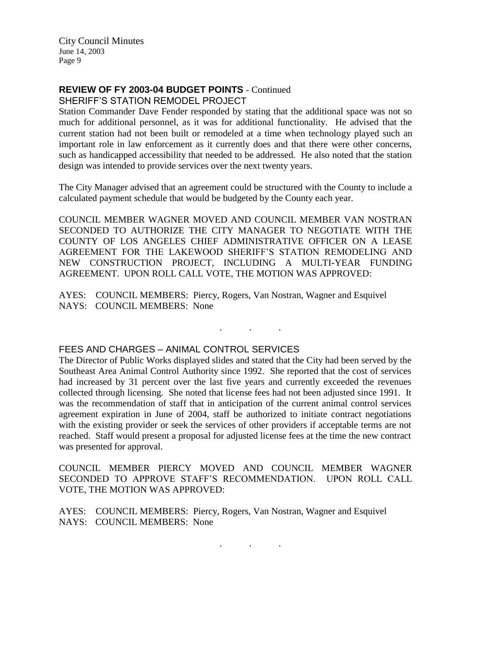## **REVIEW OF FY 2003-04 BUDGET POINTS** - Continued

SHERIFF'S STATION REMODEL PROJECT

Station Commander Dave Fender responded by stating that the additional space was not so much for additional personnel, as it was for additional functionality. He advised that the current station had not been built or remodeled at a time when technology played such an important role in law enforcement as it currently does and that there were other concerns, such as handicapped accessibility that needed to be addressed. He also noted that the station design was intended to provide services over the next twenty years.

The City Manager advised that an agreement could be structured with the County to include a calculated payment schedule that would be budgeted by the County each year.

COUNCIL MEMBER WAGNER MOVED AND COUNCIL MEMBER VAN NOSTRAN SECONDED TO AUTHORIZE THE CITY MANAGER TO NEGOTIATE WITH THE COUNTY OF LOS ANGELES CHIEF ADMINISTRATIVE OFFICER ON A LEASE AGREEMENT FOR THE LAKEWOOD SHERIFF'S STATION REMODELING AND NEW CONSTRUCTION PROJECT, INCLUDING A MULTI-YEAR FUNDING AGREEMENT. UPON ROLL CALL VOTE, THE MOTION WAS APPROVED:

AYES: COUNCIL MEMBERS: Piercy, Rogers, Van Nostran, Wagner and Esquivel NAYS: COUNCIL MEMBERS: None

#### FEES AND CHARGES – ANIMAL CONTROL SERVICES

The Director of Public Works displayed slides and stated that the City had been served by the Southeast Area Animal Control Authority since 1992. She reported that the cost of services had increased by 31 percent over the last five years and currently exceeded the revenues collected through licensing. She noted that license fees had not been adjusted since 1991. It was the recommendation of staff that in anticipation of the current animal control services agreement expiration in June of 2004, staff be authorized to initiate contract negotiations with the existing provider or seek the services of other providers if acceptable terms are not reached. Staff would present a proposal for adjusted license fees at the time the new contract was presented for approval.

. . .

COUNCIL MEMBER PIERCY MOVED AND COUNCIL MEMBER WAGNER SECONDED TO APPROVE STAFF'S RECOMMENDATION. UPON ROLL CALL VOTE, THE MOTION WAS APPROVED:

AYES: COUNCIL MEMBERS: Piercy, Rogers, Van Nostran, Wagner and Esquivel NAYS: COUNCIL MEMBERS: None

. . .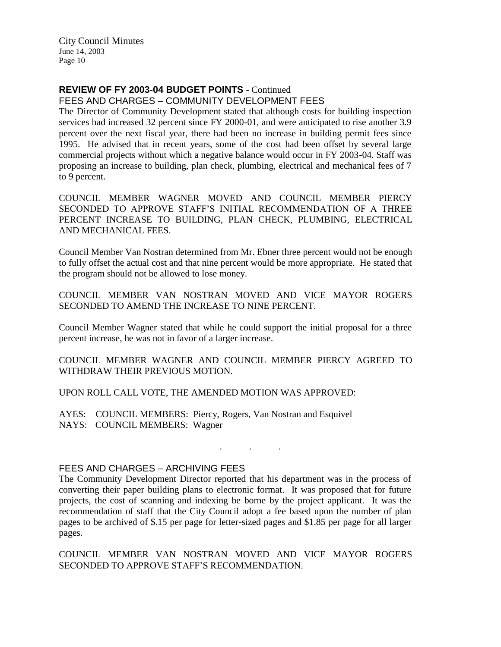## **REVIEW OF FY 2003-04 BUDGET POINTS** - Continued

FEES AND CHARGES – COMMUNITY DEVELOPMENT FEES

The Director of Community Development stated that although costs for building inspection services had increased 32 percent since FY 2000-01, and were anticipated to rise another 3.9 percent over the next fiscal year, there had been no increase in building permit fees since 1995. He advised that in recent years, some of the cost had been offset by several large commercial projects without which a negative balance would occur in FY 2003-04. Staff was proposing an increase to building, plan check, plumbing, electrical and mechanical fees of 7 to 9 percent.

COUNCIL MEMBER WAGNER MOVED AND COUNCIL MEMBER PIERCY SECONDED TO APPROVE STAFF'S INITIAL RECOMMENDATION OF A THREE PERCENT INCREASE TO BUILDING, PLAN CHECK, PLUMBING, ELECTRICAL AND MECHANICAL FEES.

Council Member Van Nostran determined from Mr. Ebner three percent would not be enough to fully offset the actual cost and that nine percent would be more appropriate. He stated that the program should not be allowed to lose money.

COUNCIL MEMBER VAN NOSTRAN MOVED AND VICE MAYOR ROGERS SECONDED TO AMEND THE INCREASE TO NINE PERCENT.

Council Member Wagner stated that while he could support the initial proposal for a three percent increase, he was not in favor of a larger increase.

COUNCIL MEMBER WAGNER AND COUNCIL MEMBER PIERCY AGREED TO WITHDRAW THEIR PREVIOUS MOTION.

UPON ROLL CALL VOTE, THE AMENDED MOTION WAS APPROVED:

AYES: COUNCIL MEMBERS: Piercy, Rogers, Van Nostran and Esquivel NAYS: COUNCIL MEMBERS: Wagner

### FEES AND CHARGES – ARCHIVING FEES

The Community Development Director reported that his department was in the process of converting their paper building plans to electronic format. It was proposed that for future projects, the cost of scanning and indexing be borne by the project applicant. It was the recommendation of staff that the City Council adopt a fee based upon the number of plan pages to be archived of \$.15 per page for letter-sized pages and \$1.85 per page for all larger pages.

. . .

COUNCIL MEMBER VAN NOSTRAN MOVED AND VICE MAYOR ROGERS SECONDED TO APPROVE STAFF'S RECOMMENDATION.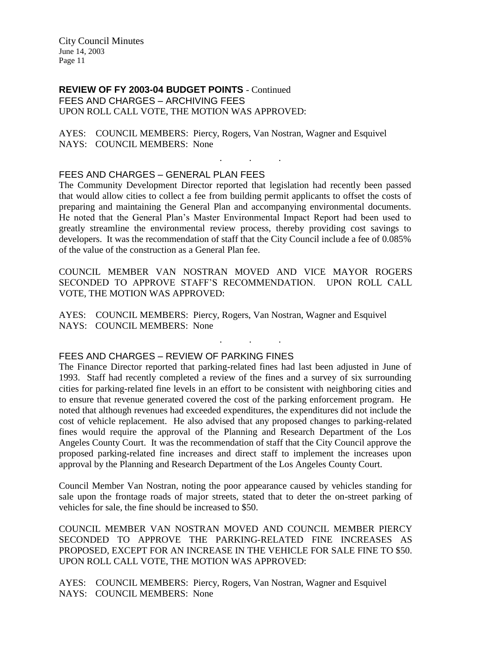**REVIEW OF FY 2003-04 BUDGET POINTS** - Continued FEES AND CHARGES – ARCHIVING FEES UPON ROLL CALL VOTE, THE MOTION WAS APPROVED:

AYES: COUNCIL MEMBERS: Piercy, Rogers, Van Nostran, Wagner and Esquivel NAYS: COUNCIL MEMBERS: None

#### FEES AND CHARGES – GENERAL PLAN FEES

The Community Development Director reported that legislation had recently been passed that would allow cities to collect a fee from building permit applicants to offset the costs of preparing and maintaining the General Plan and accompanying environmental documents. He noted that the General Plan's Master Environmental Impact Report had been used to greatly streamline the environmental review process, thereby providing cost savings to developers. It was the recommendation of staff that the City Council include a fee of 0.085% of the value of the construction as a General Plan fee.

. . .

COUNCIL MEMBER VAN NOSTRAN MOVED AND VICE MAYOR ROGERS SECONDED TO APPROVE STAFF'S RECOMMENDATION. UPON ROLL CALL VOTE, THE MOTION WAS APPROVED:

. . .

AYES: COUNCIL MEMBERS: Piercy, Rogers, Van Nostran, Wagner and Esquivel NAYS: COUNCIL MEMBERS: None

#### FEES AND CHARGES – REVIEW OF PARKING FINES

The Finance Director reported that parking-related fines had last been adjusted in June of 1993. Staff had recently completed a review of the fines and a survey of six surrounding cities for parking-related fine levels in an effort to be consistent with neighboring cities and to ensure that revenue generated covered the cost of the parking enforcement program. He noted that although revenues had exceeded expenditures, the expenditures did not include the cost of vehicle replacement. He also advised that any proposed changes to parking-related fines would require the approval of the Planning and Research Department of the Los Angeles County Court. It was the recommendation of staff that the City Council approve the proposed parking-related fine increases and direct staff to implement the increases upon approval by the Planning and Research Department of the Los Angeles County Court.

Council Member Van Nostran, noting the poor appearance caused by vehicles standing for sale upon the frontage roads of major streets, stated that to deter the on-street parking of vehicles for sale, the fine should be increased to \$50.

COUNCIL MEMBER VAN NOSTRAN MOVED AND COUNCIL MEMBER PIERCY SECONDED TO APPROVE THE PARKING-RELATED FINE INCREASES AS PROPOSED, EXCEPT FOR AN INCREASE IN THE VEHICLE FOR SALE FINE TO \$50. UPON ROLL CALL VOTE, THE MOTION WAS APPROVED:

AYES: COUNCIL MEMBERS: Piercy, Rogers, Van Nostran, Wagner and Esquivel NAYS: COUNCIL MEMBERS: None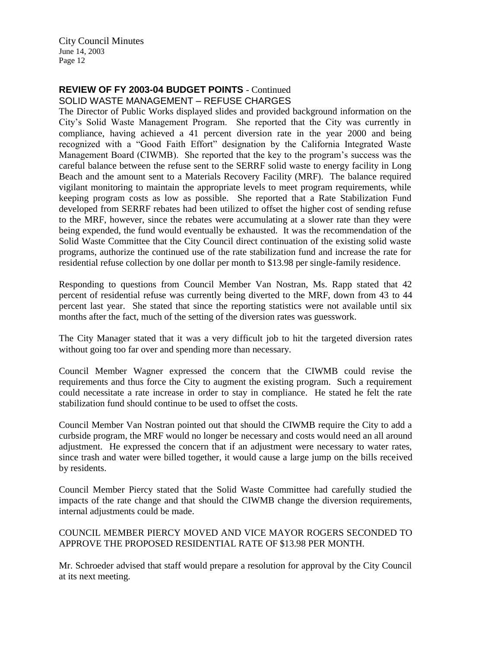# **REVIEW OF FY 2003-04 BUDGET POINTS** - Continued

SOLID WASTE MANAGEMENT – REFUSE CHARGES

The Director of Public Works displayed slides and provided background information on the City's Solid Waste Management Program. She reported that the City was currently in compliance, having achieved a 41 percent diversion rate in the year 2000 and being recognized with a "Good Faith Effort" designation by the California Integrated Waste Management Board (CIWMB). She reported that the key to the program's success was the careful balance between the refuse sent to the SERRF solid waste to energy facility in Long Beach and the amount sent to a Materials Recovery Facility (MRF). The balance required vigilant monitoring to maintain the appropriate levels to meet program requirements, while keeping program costs as low as possible. She reported that a Rate Stabilization Fund developed from SERRF rebates had been utilized to offset the higher cost of sending refuse to the MRF, however, since the rebates were accumulating at a slower rate than they were being expended, the fund would eventually be exhausted. It was the recommendation of the Solid Waste Committee that the City Council direct continuation of the existing solid waste programs, authorize the continued use of the rate stabilization fund and increase the rate for residential refuse collection by one dollar per month to \$13.98 per single-family residence.

Responding to questions from Council Member Van Nostran, Ms. Rapp stated that 42 percent of residential refuse was currently being diverted to the MRF, down from 43 to 44 percent last year. She stated that since the reporting statistics were not available until six months after the fact, much of the setting of the diversion rates was guesswork.

The City Manager stated that it was a very difficult job to hit the targeted diversion rates without going too far over and spending more than necessary.

Council Member Wagner expressed the concern that the CIWMB could revise the requirements and thus force the City to augment the existing program. Such a requirement could necessitate a rate increase in order to stay in compliance. He stated he felt the rate stabilization fund should continue to be used to offset the costs.

Council Member Van Nostran pointed out that should the CIWMB require the City to add a curbside program, the MRF would no longer be necessary and costs would need an all around adjustment. He expressed the concern that if an adjustment were necessary to water rates, since trash and water were billed together, it would cause a large jump on the bills received by residents.

Council Member Piercy stated that the Solid Waste Committee had carefully studied the impacts of the rate change and that should the CIWMB change the diversion requirements, internal adjustments could be made.

### COUNCIL MEMBER PIERCY MOVED AND VICE MAYOR ROGERS SECONDED TO APPROVE THE PROPOSED RESIDENTIAL RATE OF \$13.98 PER MONTH.

Mr. Schroeder advised that staff would prepare a resolution for approval by the City Council at its next meeting.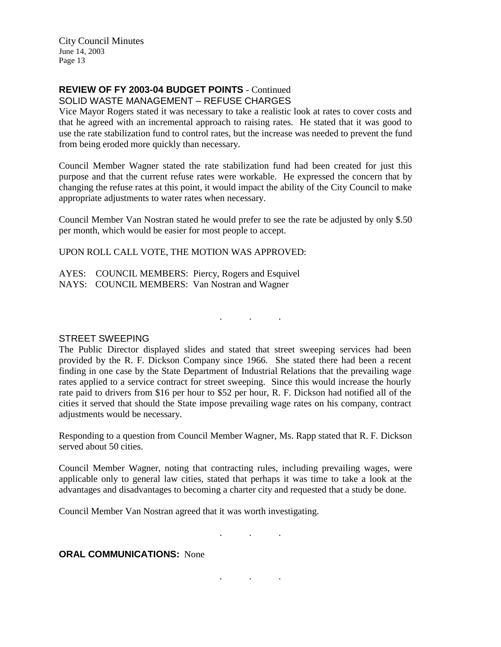# **REVIEW OF FY 2003-04 BUDGET POINTS** - Continued

SOLID WASTE MANAGEMENT – REFUSE CHARGES

Vice Mayor Rogers stated it was necessary to take a realistic look at rates to cover costs and that he agreed with an incremental approach to raising rates. He stated that it was good to use the rate stabilization fund to control rates, but the increase was needed to prevent the fund from being eroded more quickly than necessary.

Council Member Wagner stated the rate stabilization fund had been created for just this purpose and that the current refuse rates were workable. He expressed the concern that by changing the refuse rates at this point, it would impact the ability of the City Council to make appropriate adjustments to water rates when necessary.

Council Member Van Nostran stated he would prefer to see the rate be adjusted by only \$.50 per month, which would be easier for most people to accept.

UPON ROLL CALL VOTE, THE MOTION WAS APPROVED:

AYES: COUNCIL MEMBERS: Piercy, Rogers and Esquivel NAYS: COUNCIL MEMBERS: Van Nostran and Wagner

#### STREET SWEEPING

The Public Director displayed slides and stated that street sweeping services had been provided by the R. F. Dickson Company since 1966. She stated there had been a recent finding in one case by the State Department of Industrial Relations that the prevailing wage rates applied to a service contract for street sweeping. Since this would increase the hourly rate paid to drivers from \$16 per hour to \$52 per hour, R. F. Dickson had notified all of the cities it served that should the State impose prevailing wage rates on his company, contract adjustments would be necessary.

. . .

Responding to a question from Council Member Wagner, Ms. Rapp stated that R. F. Dickson served about 50 cities.

Council Member Wagner, noting that contracting rules, including prevailing wages, were applicable only to general law cities, stated that perhaps it was time to take a look at the advantages and disadvantages to becoming a charter city and requested that a study be done.

Council Member Van Nostran agreed that it was worth investigating.

. . .

. . .

**ORAL COMMUNICATIONS: None**